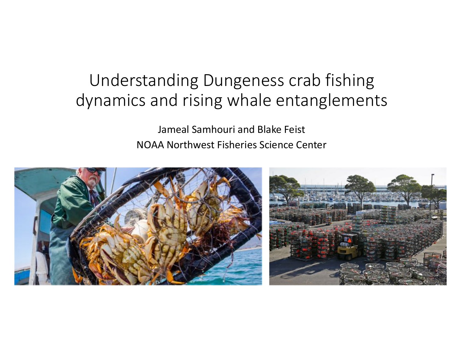## Understanding Dungeness crab fishing dynamics and rising whale entanglements

 Jameal Samhouri and Blake Feist NOAA Northwest Fisheries Science Center

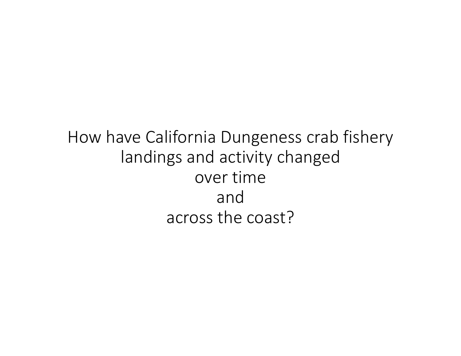How have California Dungeness crab fishery landings and activity changed over time across the coast?and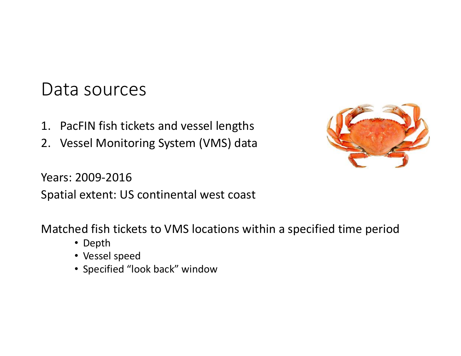### Data sources

- N fich tickets and natural gas, is releasing to the much continued to the continued to the continued to the continued of the continued of the continued of the continued of the continued of the continued of the continued of the continued of t Dungeness crab are an abundant and 1. PacFIN fish tickets and vessel lengths
- el Monitoring System (VMS) data 2. Vessel Monitoring System (VMS) data



Spatial extent: US continental west coast Years: 2009-2016

**Most**  Matched fish tickets to VMS locations within a specified time period

- Depth
- Vessel speed
- Annually, about 25% of human-• Specified "look back" window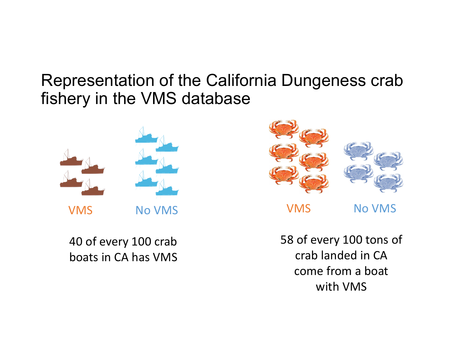### fishery in the VMS database Representation of the California Dungeness crab



40 of every 100 crab boats in CA has VMS



**NOA RESEARCH STUDIES, EXPOSURE TO LOWER PHONES** 

58 of every 100 tons of **http://sanctuaries.noaa.gov/education/oa** crab landed in CA larval development rates and survival. It also impacts the prey species—such come from a boat with VMS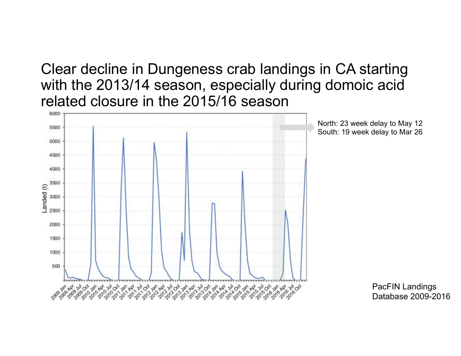Clear decline in Dungeness crab landings in CA starting with the 2013/14 season, especially during domoic acid related closure in the 2015/16 season



North: 23 week delay to May 12 South: 19 week delay to Mar 26

> PacFIN Landings Database 2009-2016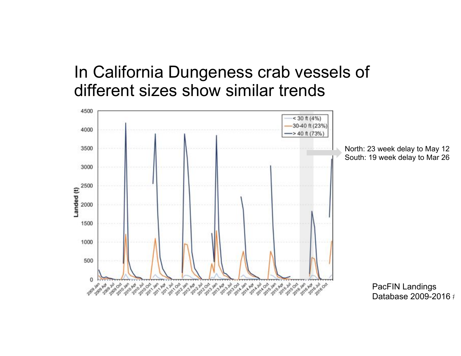#### In California Dungeness crab vessels of different sizes show similar trends

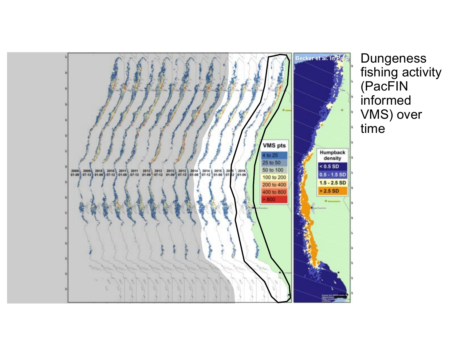

fishing activity (PacFIN informed VMS) over time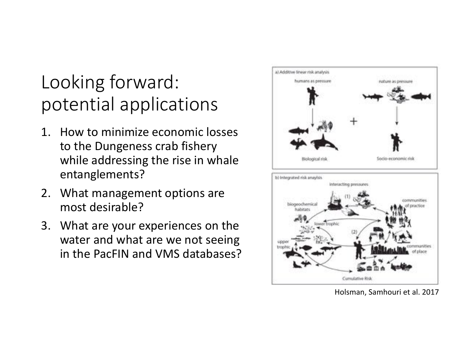# Looking forward: potential applications

- 1. How to minimize economic losses to the Dungeness crab fishery while addressing the rise in whale entanglements?
- 2. What management options are most desirable?
- 3. What are your experiences on the water and what are we not seeing in the PacFIN and VMS databases?



Holsman, Samhouri et al. 2017